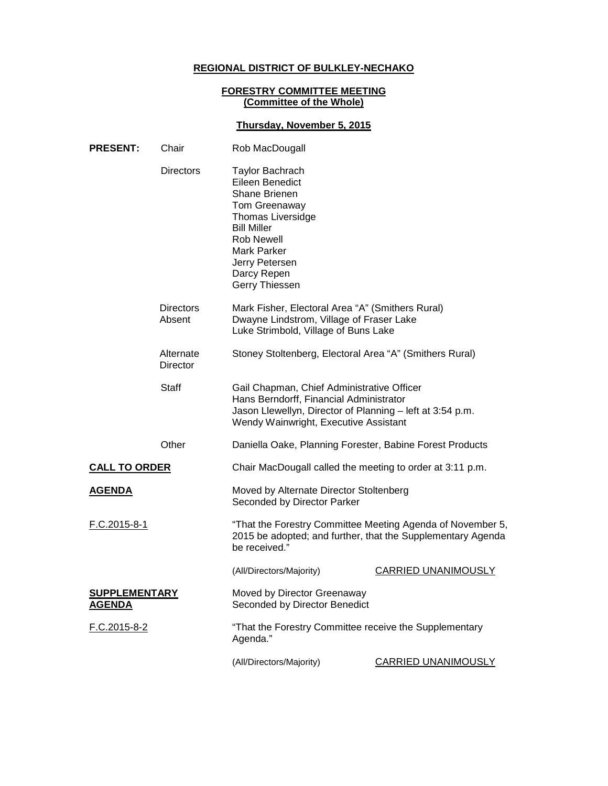# **REGIONAL DISTRICT OF BULKLEY-NECHAKO**

### **FORESTRY COMMITTEE MEETING (Committee of the Whole)**

## **Thursday, November 5, 2015**

| <b>PRESENT:</b>                       | Chair                                                                                                                                                              | Rob MacDougall                                                                                                                                                                                                                            |                            |
|---------------------------------------|--------------------------------------------------------------------------------------------------------------------------------------------------------------------|-------------------------------------------------------------------------------------------------------------------------------------------------------------------------------------------------------------------------------------------|----------------------------|
|                                       | <b>Directors</b>                                                                                                                                                   | <b>Taylor Bachrach</b><br>Eileen Benedict<br><b>Shane Brienen</b><br><b>Tom Greenaway</b><br><b>Thomas Liversidge</b><br><b>Bill Miller</b><br><b>Rob Newell</b><br><b>Mark Parker</b><br>Jerry Petersen<br>Darcy Repen<br>Gerry Thiessen |                            |
|                                       | <b>Directors</b><br>Mark Fisher, Electoral Area "A" (Smithers Rural)<br>Dwayne Lindstrom, Village of Fraser Lake<br>Absent<br>Luke Strimbold, Village of Buns Lake |                                                                                                                                                                                                                                           |                            |
|                                       | Alternate<br><b>Director</b>                                                                                                                                       | Stoney Stoltenberg, Electoral Area "A" (Smithers Rural)                                                                                                                                                                                   |                            |
|                                       | <b>Staff</b>                                                                                                                                                       | Gail Chapman, Chief Administrative Officer<br>Hans Berndorff, Financial Administrator<br>Jason Llewellyn, Director of Planning - left at 3:54 p.m.<br>Wendy Wainwright, Executive Assistant                                               |                            |
|                                       | Other                                                                                                                                                              | Daniella Oake, Planning Forester, Babine Forest Products                                                                                                                                                                                  |                            |
| <b>CALL TO ORDER</b>                  |                                                                                                                                                                    | Chair MacDougall called the meeting to order at 3:11 p.m.                                                                                                                                                                                 |                            |
| <u>AGENDA</u>                         |                                                                                                                                                                    | Moved by Alternate Director Stoltenberg<br>Seconded by Director Parker                                                                                                                                                                    |                            |
| F.C.2015-8-1                          |                                                                                                                                                                    | "That the Forestry Committee Meeting Agenda of November 5,<br>2015 be adopted; and further, that the Supplementary Agenda<br>be received."                                                                                                |                            |
|                                       |                                                                                                                                                                    | (All/Directors/Majority)                                                                                                                                                                                                                  | <b>CARRIED UNANIMOUSLY</b> |
| <b>SUPPLEMENTARY</b><br><b>AGENDA</b> |                                                                                                                                                                    | Moved by Director Greenaway<br>Seconded by Director Benedict                                                                                                                                                                              |                            |
| F.C.2015-8-2                          |                                                                                                                                                                    | "That the Forestry Committee receive the Supplementary<br>Agenda."                                                                                                                                                                        |                            |
|                                       |                                                                                                                                                                    | (All/Directors/Majority)                                                                                                                                                                                                                  | <b>CARRIED UNANIMOUSLY</b> |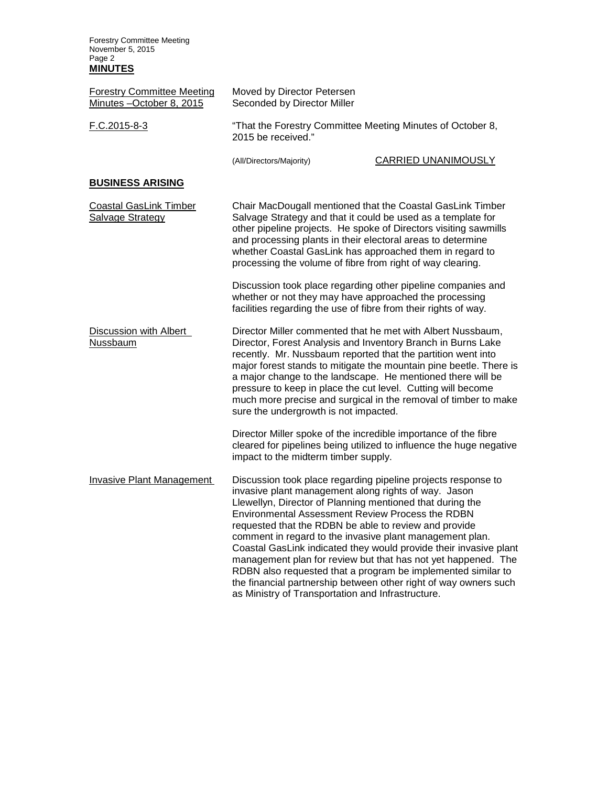Forestry Committee Meeting November 5, 2015 Page 2 **MINUTES**

| <b>Forestry Committee Meeting</b><br>Minutes -October 8, 2015 | Moved by Director Petersen<br>Seconded by Director Miller                        |                                                                                                                                                                                                                                                                                                                                                                                                                                                                                                                                                                                                                                       |  |
|---------------------------------------------------------------|----------------------------------------------------------------------------------|---------------------------------------------------------------------------------------------------------------------------------------------------------------------------------------------------------------------------------------------------------------------------------------------------------------------------------------------------------------------------------------------------------------------------------------------------------------------------------------------------------------------------------------------------------------------------------------------------------------------------------------|--|
| $F.C.2015-8-3$                                                | "That the Forestry Committee Meeting Minutes of October 8,<br>2015 be received." |                                                                                                                                                                                                                                                                                                                                                                                                                                                                                                                                                                                                                                       |  |
|                                                               | (All/Directors/Majority)                                                         | CARRIED UNANIMOUSLY                                                                                                                                                                                                                                                                                                                                                                                                                                                                                                                                                                                                                   |  |
| <b>BUSINESS ARISING</b>                                       |                                                                                  |                                                                                                                                                                                                                                                                                                                                                                                                                                                                                                                                                                                                                                       |  |
| <b>Coastal GasLink Timber</b><br>Salvage Strategy             |                                                                                  | Chair MacDougall mentioned that the Coastal GasLink Timber<br>Salvage Strategy and that it could be used as a template for<br>other pipeline projects. He spoke of Directors visiting sawmills<br>and processing plants in their electoral areas to determine<br>whether Coastal GasLink has approached them in regard to<br>processing the volume of fibre from right of way clearing.                                                                                                                                                                                                                                               |  |
|                                                               |                                                                                  | Discussion took place regarding other pipeline companies and<br>whether or not they may have approached the processing<br>facilities regarding the use of fibre from their rights of way.                                                                                                                                                                                                                                                                                                                                                                                                                                             |  |
| Discussion with Albert<br>Nussbaum                            | sure the undergrowth is not impacted.                                            | Director Miller commented that he met with Albert Nussbaum,<br>Director, Forest Analysis and Inventory Branch in Burns Lake<br>recently. Mr. Nussbaum reported that the partition went into<br>major forest stands to mitigate the mountain pine beetle. There is<br>a major change to the landscape. He mentioned there will be<br>pressure to keep in place the cut level. Cutting will become<br>much more precise and surgical in the removal of timber to make                                                                                                                                                                   |  |
|                                                               | impact to the midterm timber supply.                                             | Director Miller spoke of the incredible importance of the fibre<br>cleared for pipelines being utilized to influence the huge negative                                                                                                                                                                                                                                                                                                                                                                                                                                                                                                |  |
| <b>Invasive Plant Management</b>                              | as Ministry of Transportation and Infrastructure.                                | Discussion took place regarding pipeline projects response to<br>invasive plant management along rights of way. Jason<br>Llewellyn, Director of Planning mentioned that during the<br>Environmental Assessment Review Process the RDBN<br>requested that the RDBN be able to review and provide<br>comment in regard to the invasive plant management plan.<br>Coastal GasLink indicated they would provide their invasive plant<br>management plan for review but that has not yet happened. The<br>RDBN also requested that a program be implemented similar to<br>the financial partnership between other right of way owners such |  |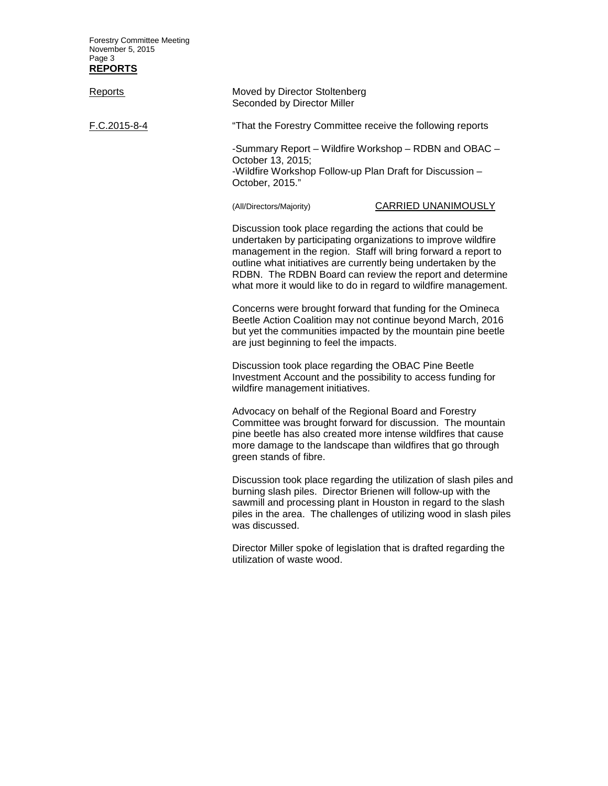Forestry Committee Meeting November 5, 2015 Page 3 **REPORTS**

| <b>Reports</b> | Moved by Director Stoltenberg<br>Seconded by Director Miller                                                                                                                                                                                                                                                                                                                                  |                                                                                                                                          |
|----------------|-----------------------------------------------------------------------------------------------------------------------------------------------------------------------------------------------------------------------------------------------------------------------------------------------------------------------------------------------------------------------------------------------|------------------------------------------------------------------------------------------------------------------------------------------|
| F.C.2015-8-4   | "That the Forestry Committee receive the following reports                                                                                                                                                                                                                                                                                                                                    |                                                                                                                                          |
|                | -Summary Report – Wildfire Workshop – RDBN and OBAC –<br>October 13, 2015;<br>-Wildfire Workshop Follow-up Plan Draft for Discussion -<br>October, 2015."                                                                                                                                                                                                                                     |                                                                                                                                          |
|                | (All/Directors/Majority)                                                                                                                                                                                                                                                                                                                                                                      | CARRIED UNANIMOUSLY                                                                                                                      |
|                | Discussion took place regarding the actions that could be<br>undertaken by participating organizations to improve wildfire<br>management in the region. Staff will bring forward a report to<br>outline what initiatives are currently being undertaken by the<br>RDBN. The RDBN Board can review the report and determine<br>what more it would like to do in regard to wildfire management. |                                                                                                                                          |
|                | Concerns were brought forward that funding for the Omineca<br>Beetle Action Coalition may not continue beyond March, 2016<br>but yet the communities impacted by the mountain pine beetle<br>are just beginning to feel the impacts.                                                                                                                                                          |                                                                                                                                          |
|                | Discussion took place regarding the OBAC Pine Beetle<br>Investment Account and the possibility to access funding for<br>wildfire management initiatives.                                                                                                                                                                                                                                      |                                                                                                                                          |
|                | Advocacy on behalf of the Regional Board and Forestry<br>Committee was brought forward for discussion. The mountain<br>pine beetle has also created more intense wildfires that cause<br>more damage to the landscape than wildfires that go through<br>green stands of fibre.                                                                                                                |                                                                                                                                          |
|                | burning slash piles. Director Brienen will follow-up with the<br>sawmill and processing plant in Houston in regard to the slash<br>was discussed.                                                                                                                                                                                                                                             | Discussion took place regarding the utilization of slash piles and<br>piles in the area. The challenges of utilizing wood in slash piles |

Director Miller spoke of legislation that is drafted regarding the utilization of waste wood.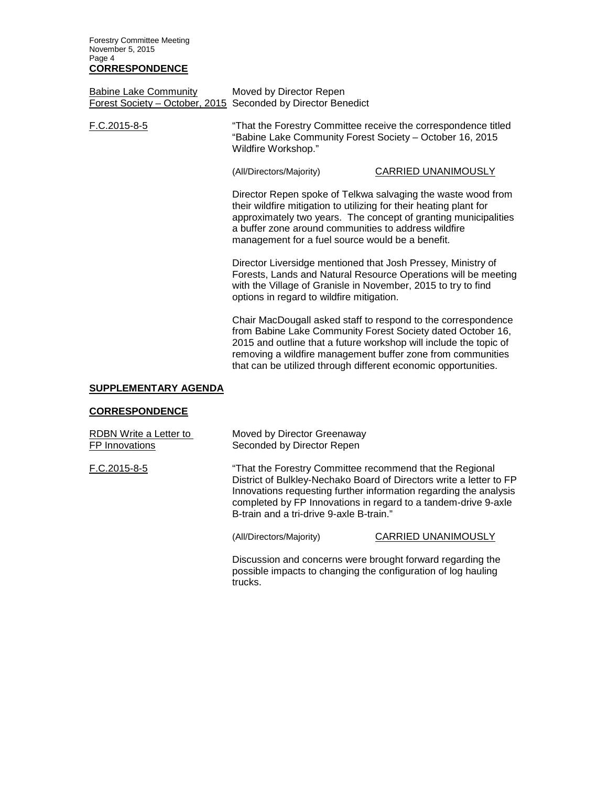Forestry Committee Meeting November 5, 2015 Page 4 **CORRESPONDENCE**

Babine Lake Community Moved by Director Repen Forest Society – October, 2015 Seconded by Director Benedict

F.C.2015-8-5 "That the Forestry Committee receive the correspondence titled "Babine Lake Community Forest Society – October 16, 2015 Wildfire Workshop."

(All/Directors/Majority) CARRIED UNANIMOUSLY

Director Repen spoke of Telkwa salvaging the waste wood from their wildfire mitigation to utilizing for their heating plant for approximately two years. The concept of granting municipalities a buffer zone around communities to address wildfire management for a fuel source would be a benefit.

Director Liversidge mentioned that Josh Pressey, Ministry of Forests, Lands and Natural Resource Operations will be meeting with the Village of Granisle in November, 2015 to try to find options in regard to wildfire mitigation.

Chair MacDougall asked staff to respond to the correspondence from Babine Lake Community Forest Society dated October 16, 2015 and outline that a future workshop will include the topic of removing a wildfire management buffer zone from communities that can be utilized through different economic opportunities.

### **SUPPLEMENTARY AGENDA**

#### **CORRESPONDENCE**

| RDBN Write a Letter to | Moved by Director Greenaway                                                                                                                                                                                                                                                                                        |
|------------------------|--------------------------------------------------------------------------------------------------------------------------------------------------------------------------------------------------------------------------------------------------------------------------------------------------------------------|
| FP Innovations         | Seconded by Director Repen                                                                                                                                                                                                                                                                                         |
| F.C.2015-8-5           | "That the Forestry Committee recommend that the Regional<br>District of Bulkley-Nechako Board of Directors write a letter to FP<br>Innovations requesting further information regarding the analysis<br>completed by FP Innovations in regard to a tandem-drive 9-axle<br>B-train and a tri-drive 9-axle B-train." |

trucks.

(All/Directors/Majority) CARRIED UNANIMOUSLY

Discussion and concerns were brought forward regarding the possible impacts to changing the configuration of log hauling